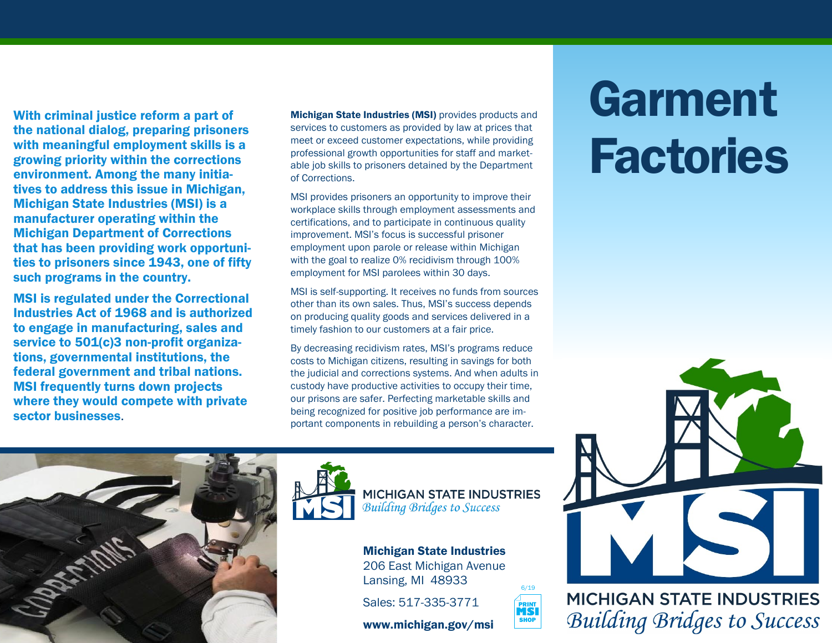With criminal justice reform a part of the national dialog, preparing prisoners with meaningful employment skills is a growing priority within the corrections environment. Among the many initiatives to address this issue in Michigan, Michigan State Industries (MSI) is a manufacturer operating within the Michigan Department of Corrections that has been providing work opportunities to prisoners since 1943, one of fifty such programs in the country.

MSI is regulated under the Correctional Industries Act of 1968 and is authorized to engage in manufacturing, sales and service to 501(c)3 non-profit organizations, governmental institutions, the federal government and tribal nations. MSI frequently turns down projects where they would compete with private sector businesses.

Michigan State Industries (MSI) provides products and services to customers as provided by law at prices that meet or exceed customer expectations, while providing professional growth opportunities for staff and marketable job skills to prisoners detained by the Department of Corrections.

MSI provides prisoners an opportunity to improve their workplace skills through employment assessments and certifications, and to participate in continuous quality improvement. MSI's focus is successful prisoner employment upon parole or release within Michigan with the goal to realize 0% recidivism through 100% employment for MSI parolees within 30 days.

MSI is self-supporting. It receives no funds from sources other than its own sales. Thus, MSI's success depends on producing quality goods and services delivered in a timely fashion to our customers at a fair price.

By decreasing recidivism rates, MSI's programs reduce costs to Michigan citizens, resulting in savings for both the judicial and corrections systems. And when adults in custody have productive activities to occupy their time, our prisons are safer. Perfecting marketable skills and being recognized for positive job performance are important components in rebuilding a person's character.





**MICHIGAN STATE INDUSTRIES Building Bridges to Success** 

6/19

**MSI**<br>SHOP

Michigan State Industries 206 East Michigan Avenue Lansing, MI 48933

Sales: 517-335-3771

www.michigan.gov/msi





**MICHIGAN STATE INDUSTRIES Building Bridges to Success**